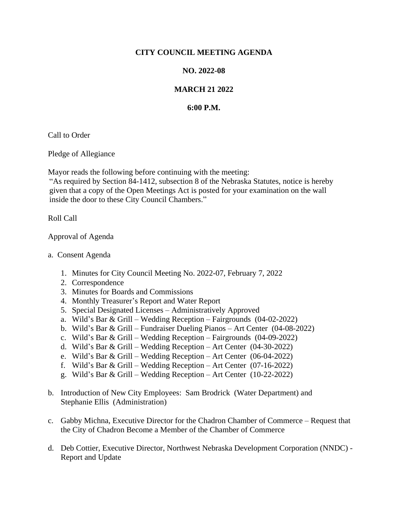## **CITY COUNCIL MEETING AGENDA**

## **NO. 2022-08**

## **MARCH 21 2022**

## **6:00 P.M.**

Call to Order

Pledge of Allegiance

Mayor reads the following before continuing with the meeting:

"As required by Section 84-1412, subsection 8 of the Nebraska Statutes, notice is hereby given that a copy of the Open Meetings Act is posted for your examination on the wall inside the door to these City Council Chambers."

Roll Call

Approval of Agenda

- a. Consent Agenda
	- 1. Minutes for City Council Meeting No. 2022-07, February 7, 2022
	- 2. Correspondence
	- 3. Minutes for Boards and Commissions
	- 4. Monthly Treasurer's Report and Water Report
	- 5. Special Designated Licenses Administratively Approved
	- a. Wild's Bar & Grill Wedding Reception Fairgrounds (04-02-2022)
	- b. Wild's Bar & Grill Fundraiser Dueling Pianos Art Center (04-08-2022)
	- c. Wild's Bar & Grill Wedding Reception Fairgrounds (04-09-2022)
	- d. Wild's Bar & Grill Wedding Reception Art Center (04-30-2022)
	- e. Wild's Bar & Grill Wedding Reception Art Center (06-04-2022)
	- f. Wild's Bar & Grill Wedding Reception Art Center (07-16-2022)
	- g. Wild's Bar & Grill Wedding Reception Art Center (10-22-2022)
- b. Introduction of New City Employees: Sam Brodrick (Water Department) and Stephanie Ellis (Administration)
- c. Gabby Michna, Executive Director for the Chadron Chamber of Commerce Request that the City of Chadron Become a Member of the Chamber of Commerce
- d. Deb Cottier, Executive Director, Northwest Nebraska Development Corporation (NNDC) Report and Update